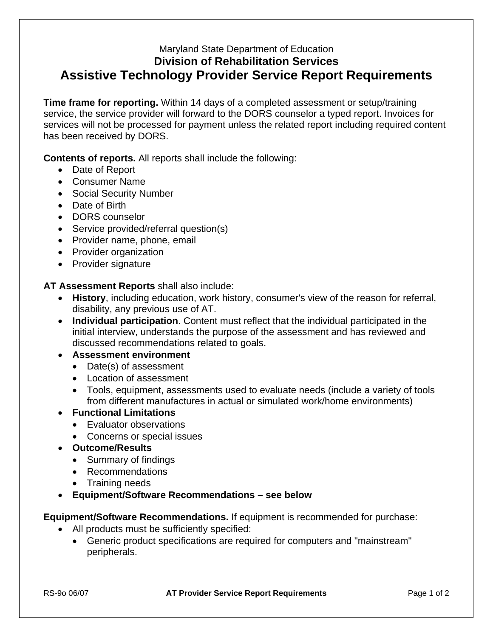## Maryland State Department of Education **Division of Rehabilitation Services Assistive Technology Provider Service Report Requirements**

**Time frame for reporting.** Within 14 days of a completed assessment or setup/training service, the service provider will forward to the DORS counselor a typed report. Invoices for services will not be processed for payment unless the related report including required content has been received by DORS.

**Contents of reports.** All reports shall include the following:

- Date of Report
- Consumer Name
- Social Security Number
- Date of Birth
- DORS counselor
- Service provided/referral question(s)
- Provider name, phone, email
- Provider organization
- Provider signature

**AT Assessment Reports** shall also include:

- **History**, including education, work history, consumer's view of the reason for referral, disability, any previous use of AT.
- **Individual participation**. Content must reflect that the individual participated in the initial interview, understands the purpose of the assessment and has reviewed and discussed recommendations related to goals.

## • **Assessment environment**

- Date(s) of assessment
- Location of assessment
- Tools, equipment, assessments used to evaluate needs (include a variety of tools from different manufactures in actual or simulated work/home environments)

## • **Functional Limitations**

- Evaluator observations
- Concerns or special issues
- **Outcome/Results** 
	- Summary of findings
	- Recommendations
	- Training needs
- **Equipment/Software Recommendations see below**

## **Equipment/Software Recommendations.** If equipment is recommended for purchase:

- All products must be sufficiently specified:
	- Generic product specifications are required for computers and "mainstream" peripherals.